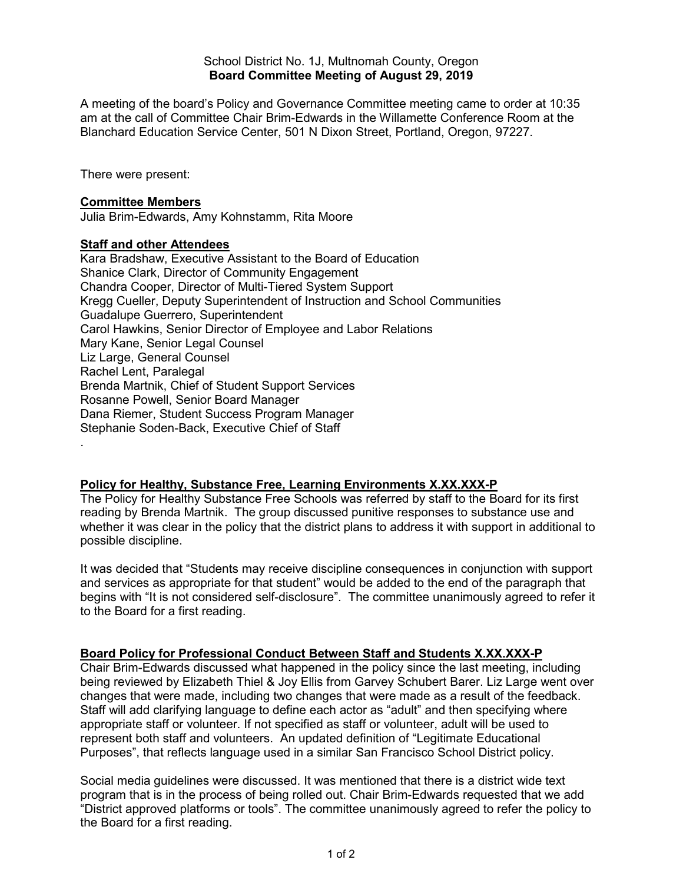School District No. 1J, Multnomah County, Oregon **Board Committee Meeting of August 29, 2019**

A meeting of the board's Policy and Governance Committee meeting came to order at 10:35 am at the call of Committee Chair Brim-Edwards in the Willamette Conference Room at the Blanchard Education Service Center, 501 N Dixon Street, Portland, Oregon, 97227.

There were present:

#### **Committee Members**

Julia Brim-Edwards, Amy Kohnstamm, Rita Moore

### **Staff and other Attendees**

Kara Bradshaw, Executive Assistant to the Board of Education Shanice Clark, Director of Community Engagement Chandra Cooper, Director of Multi-Tiered System Support Kregg Cueller, Deputy Superintendent of Instruction and School Communities Guadalupe Guerrero, Superintendent Carol Hawkins, Senior Director of Employee and Labor Relations Mary Kane, Senior Legal Counsel Liz Large, General Counsel Rachel Lent, Paralegal Brenda Martnik, Chief of Student Support Services Rosanne Powell, Senior Board Manager Dana Riemer, Student Success Program Manager Stephanie Soden-Back, Executive Chief of Staff .

### **Policy for Healthy, Substance Free, Learning Environments X.XX.XXX-P**

The Policy for Healthy Substance Free Schools was referred by staff to the Board for its first reading by Brenda Martnik. The group discussed punitive responses to substance use and whether it was clear in the policy that the district plans to address it with support in additional to possible discipline.

It was decided that "Students may receive discipline consequences in conjunction with support and services as appropriate for that student" would be added to the end of the paragraph that begins with "It is not considered self-disclosure". The committee unanimously agreed to refer it to the Board for a first reading.

## **Board Policy for Professional Conduct Between Staff and Students X.XX.XXX-P**

Chair Brim-Edwards discussed what happened in the policy since the last meeting, including being reviewed by Elizabeth Thiel & Joy Ellis from Garvey Schubert Barer. Liz Large went over changes that were made, including two changes that were made as a result of the feedback. Staff will add clarifying language to define each actor as "adult" and then specifying where appropriate staff or volunteer. If not specified as staff or volunteer, adult will be used to represent both staff and volunteers. An updated definition of "Legitimate Educational Purposes", that reflects language used in a similar San Francisco School District policy.

Social media guidelines were discussed. It was mentioned that there is a district wide text program that is in the process of being rolled out. Chair Brim-Edwards requested that we add "District approved platforms or tools". The committee unanimously agreed to refer the policy to the Board for a first reading.